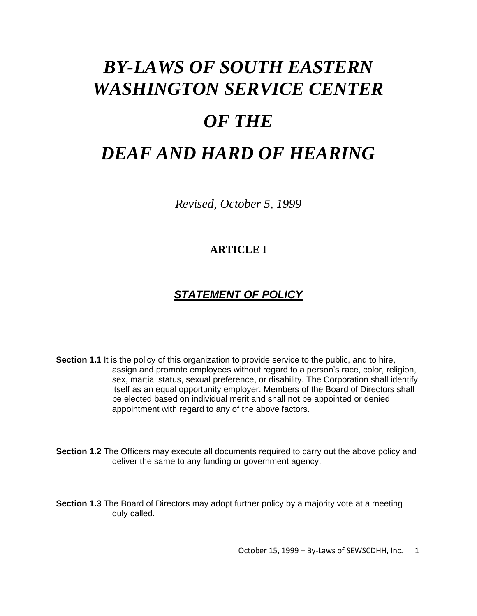# *BY-LAWS OF SOUTH EASTERN WASHINGTON SERVICE CENTER*

# *OF THE*

# *DEAF AND HARD OF HEARING*

*Revised, October 5, 1999*

### **ARTICLE I**

# *STATEMENT OF POLICY*

**Section 1.1** It is the policy of this organization to provide service to the public, and to hire, assign and promote employees without regard to a person's race, color, religion, sex, martial status, sexual preference, or disability. The Corporation shall identify itself as an equal opportunity employer. Members of the Board of Directors shall be elected based on individual merit and shall not be appointed or denied appointment with regard to any of the above factors.

**Section 1.2** The Officers may execute all documents required to carry out the above policy and deliver the same to any funding or government agency.

**Section 1.3** The Board of Directors may adopt further policy by a majority vote at a meeting duly called.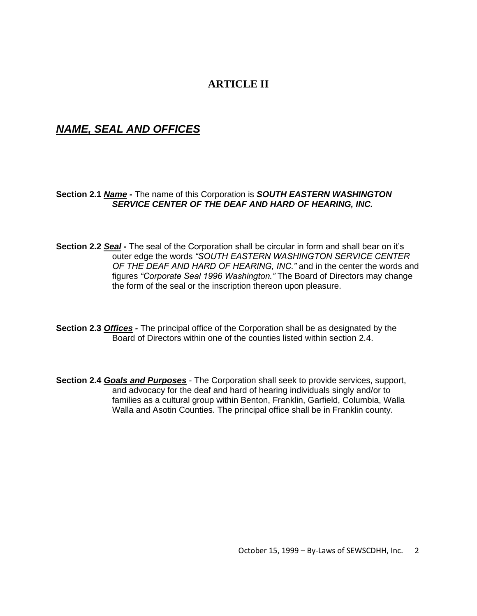#### **ARTICLE II**

#### *NAME, SEAL AND OFFICES*

#### **Section 2.1** *Name* **-** The name of this Corporation is *SOUTH EASTERN WASHINGTON SERVICE CENTER OF THE DEAF AND HARD OF HEARING, INC.*

- **Section 2.2** *Seal -* The seal of the Corporation shall be circular in form and shall bear on it's outer edge the words *"SOUTH EASTERN WASHINGTON SERVICE CENTER OF THE DEAF AND HARD OF HEARING, INC."* and in the center the words and figures *"Corporate Seal 1996 Washington."* The Board of Directors may change the form of the seal or the inscription thereon upon pleasure.
- **Section 2.3** *Offices -* The principal office of the Corporation shall be as designated by the Board of Directors within one of the counties listed within section 2.4.
- **Section 2.4** *Goals and Purposes* The Corporation shall seek to provide services, support, and advocacy for the deaf and hard of hearing individuals singly and/or to families as a cultural group within Benton, Franklin, Garfield, Columbia, Walla Walla and Asotin Counties. The principal office shall be in Franklin county.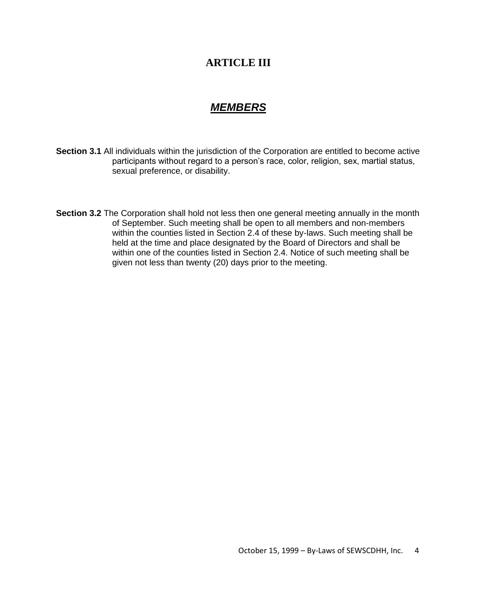#### **ARTICLE III**

#### *MEMBERS*

- **Section 3.1** All individuals within the jurisdiction of the Corporation are entitled to become active participants without regard to a person's race, color, religion, sex, martial status, sexual preference, or disability.
- **Section 3.2** The Corporation shall hold not less then one general meeting annually in the month of September. Such meeting shall be open to all members and non-members within the counties listed in Section 2.4 of these by-laws. Such meeting shall be held at the time and place designated by the Board of Directors and shall be within one of the counties listed in Section 2.4. Notice of such meeting shall be given not less than twenty (20) days prior to the meeting.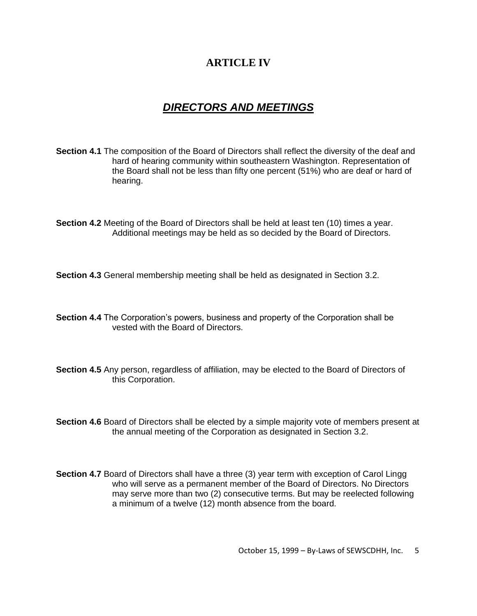## **ARTICLE IV**

# *DIRECTORS AND MEETINGS*

- **Section 4.1** The composition of the Board of Directors shall reflect the diversity of the deaf and hard of hearing community within southeastern Washington. Representation of the Board shall not be less than fifty one percent (51%) who are deaf or hard of hearing.
- **Section 4.2** Meeting of the Board of Directors shall be held at least ten (10) times a year. Additional meetings may be held as so decided by the Board of Directors.

**Section 4.3** General membership meeting shall be held as designated in Section 3.2.

- **Section 4.4** The Corporation's powers, business and property of the Corporation shall be vested with the Board of Directors.
- **Section 4.5** Any person, regardless of affiliation, may be elected to the Board of Directors of this Corporation.
- **Section 4.6** Board of Directors shall be elected by a simple majority vote of members present at the annual meeting of the Corporation as designated in Section 3.2.
- **Section 4.7** Board of Directors shall have a three (3) year term with exception of Carol Lingg who will serve as a permanent member of the Board of Directors. No Directors may serve more than two (2) consecutive terms. But may be reelected following a minimum of a twelve (12) month absence from the board.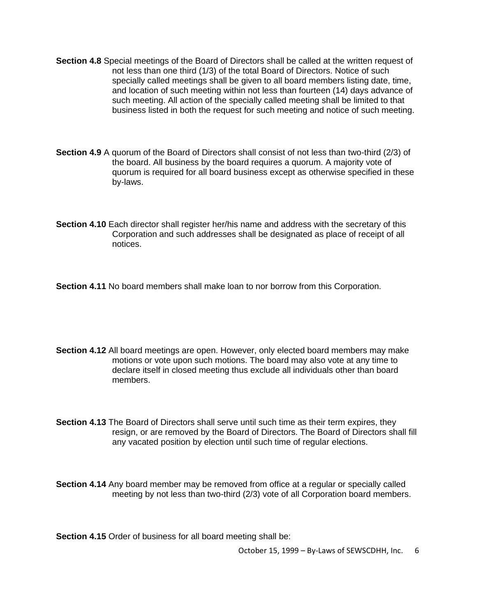- **Section 4.8** Special meetings of the Board of Directors shall be called at the written request of not less than one third (1/3) of the total Board of Directors. Notice of such specially called meetings shall be given to all board members listing date, time, and location of such meeting within not less than fourteen (14) days advance of such meeting. All action of the specially called meeting shall be limited to that business listed in both the request for such meeting and notice of such meeting.
- **Section 4.9** A quorum of the Board of Directors shall consist of not less than two-third (2/3) of the board. All business by the board requires a quorum. A majority vote of quorum is required for all board business except as otherwise specified in these by-laws.
- **Section 4.10** Each director shall register her/his name and address with the secretary of this Corporation and such addresses shall be designated as place of receipt of all notices.

**Section 4.11** No board members shall make loan to nor borrow from this Corporation.

- **Section 4.12** All board meetings are open. However, only elected board members may make motions or vote upon such motions. The board may also vote at any time to declare itself in closed meeting thus exclude all individuals other than board members.
- **Section 4.13** The Board of Directors shall serve until such time as their term expires, they resign, or are removed by the Board of Directors. The Board of Directors shall fill any vacated position by election until such time of regular elections.

**Section 4.14** Any board member may be removed from office at a regular or specially called meeting by not less than two-third (2/3) vote of all Corporation board members.

**Section 4.15** Order of business for all board meeting shall be: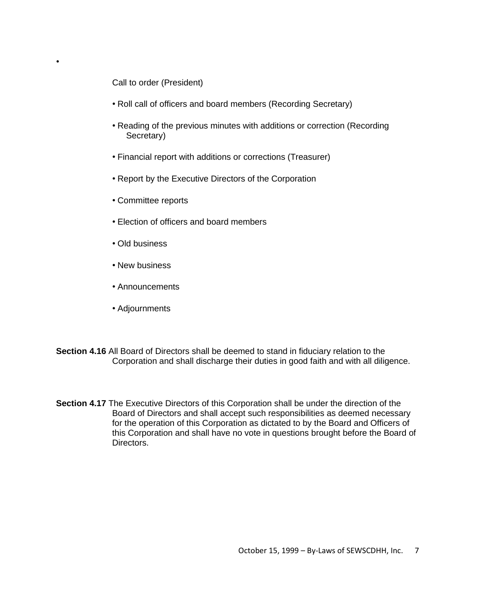Call to order (President)

•

- Roll call of officers and board members (Recording Secretary)
- Reading of the previous minutes with additions or correction (Recording Secretary)
- Financial report with additions or corrections (Treasurer)
- Report by the Executive Directors of the Corporation
- Committee reports
- Election of officers and board members
- Old business
- New business
- Announcements
- Adjournments
- **Section 4.16** All Board of Directors shall be deemed to stand in fiduciary relation to the Corporation and shall discharge their duties in good faith and with all diligence.
- **Section 4.17** The Executive Directors of this Corporation shall be under the direction of the Board of Directors and shall accept such responsibilities as deemed necessary for the operation of this Corporation as dictated to by the Board and Officers of this Corporation and shall have no vote in questions brought before the Board of Directors.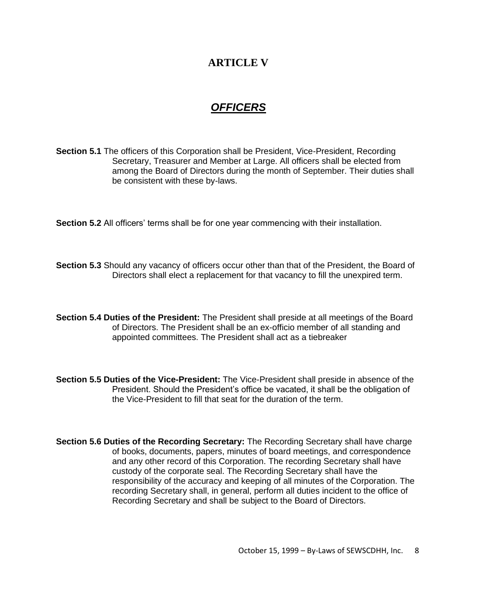#### **ARTICLE V**

# *OFFICERS*

**Section 5.1** The officers of this Corporation shall be President, Vice-President, Recording Secretary, Treasurer and Member at Large. All officers shall be elected from among the Board of Directors during the month of September. Their duties shall be consistent with these by-laws.

**Section 5.2** All officers' terms shall be for one year commencing with their installation.

**Section 5.3** Should any vacancy of officers occur other than that of the President, the Board of Directors shall elect a replacement for that vacancy to fill the unexpired term.

**Section 5.4 Duties of the President:** The President shall preside at all meetings of the Board of Directors. The President shall be an ex-officio member of all standing and appointed committees. The President shall act as a tiebreaker

**Section 5.5 Duties of the Vice-President:** The Vice-President shall preside in absence of the President. Should the President's office be vacated, it shall be the obligation of the Vice-President to fill that seat for the duration of the term.

**Section 5.6 Duties of the Recording Secretary:** The Recording Secretary shall have charge of books, documents, papers, minutes of board meetings, and correspondence and any other record of this Corporation. The recording Secretary shall have custody of the corporate seal. The Recording Secretary shall have the responsibility of the accuracy and keeping of all minutes of the Corporation. The recording Secretary shall, in general, perform all duties incident to the office of Recording Secretary and shall be subject to the Board of Directors.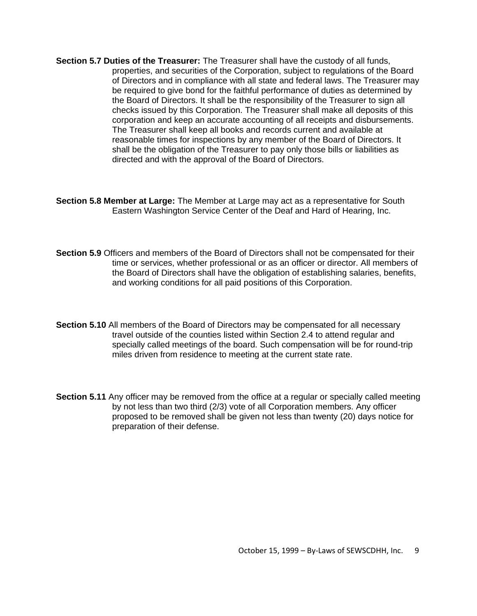- **Section 5.7 Duties of the Treasurer:** The Treasurer shall have the custody of all funds, properties, and securities of the Corporation, subject to regulations of the Board of Directors and in compliance with all state and federal laws. The Treasurer may be required to give bond for the faithful performance of duties as determined by the Board of Directors. It shall be the responsibility of the Treasurer to sign all checks issued by this Corporation. The Treasurer shall make all deposits of this corporation and keep an accurate accounting of all receipts and disbursements. The Treasurer shall keep all books and records current and available at reasonable times for inspections by any member of the Board of Directors. It shall be the obligation of the Treasurer to pay only those bills or liabilities as directed and with the approval of the Board of Directors.
- **Section 5.8 Member at Large:** The Member at Large may act as a representative for South Eastern Washington Service Center of the Deaf and Hard of Hearing, Inc.
- **Section 5.9** Officers and members of the Board of Directors shall not be compensated for their time or services, whether professional or as an officer or director. All members of the Board of Directors shall have the obligation of establishing salaries, benefits, and working conditions for all paid positions of this Corporation.
- **Section 5.10** All members of the Board of Directors may be compensated for all necessary travel outside of the counties listed within Section 2.4 to attend regular and specially called meetings of the board. Such compensation will be for round-trip miles driven from residence to meeting at the current state rate.
- **Section 5.11** Any officer may be removed from the office at a regular or specially called meeting by not less than two third (2/3) vote of all Corporation members. Any officer proposed to be removed shall be given not less than twenty (20) days notice for preparation of their defense.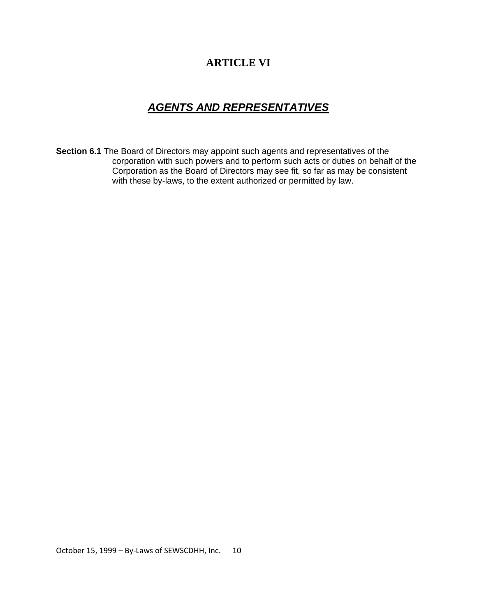# **ARTICLE VI**

# *AGENTS AND REPRESENTATIVES*

**Section 6.1** The Board of Directors may appoint such agents and representatives of the corporation with such powers and to perform such acts or duties on behalf of the Corporation as the Board of Directors may see fit, so far as may be consistent with these by-laws, to the extent authorized or permitted by law.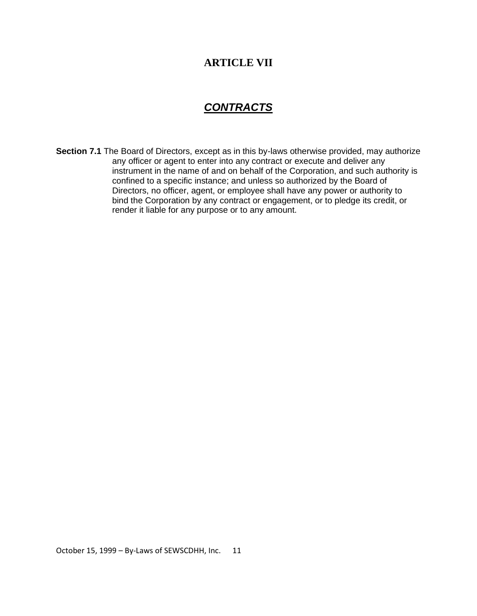#### **ARTICLE VII**

### *CONTRACTS*

**Section 7.1** The Board of Directors, except as in this by-laws otherwise provided, may authorize any officer or agent to enter into any contract or execute and deliver any instrument in the name of and on behalf of the Corporation, and such authority is confined to a specific instance; and unless so authorized by the Board of Directors, no officer, agent, or employee shall have any power or authority to bind the Corporation by any contract or engagement, or to pledge its credit, or render it liable for any purpose or to any amount.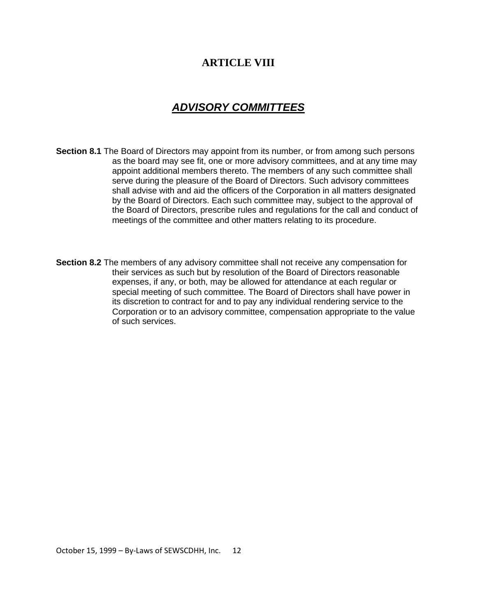#### **ARTICLE VIII**

# *ADVISORY COMMITTEES*

- **Section 8.1** The Board of Directors may appoint from its number, or from among such persons as the board may see fit, one or more advisory committees, and at any time may appoint additional members thereto. The members of any such committee shall serve during the pleasure of the Board of Directors. Such advisory committees shall advise with and aid the officers of the Corporation in all matters designated by the Board of Directors. Each such committee may, subject to the approval of the Board of Directors, prescribe rules and regulations for the call and conduct of meetings of the committee and other matters relating to its procedure.
- **Section 8.2** The members of any advisory committee shall not receive any compensation for their services as such but by resolution of the Board of Directors reasonable expenses, if any, or both, may be allowed for attendance at each regular or special meeting of such committee. The Board of Directors shall have power in its discretion to contract for and to pay any individual rendering service to the Corporation or to an advisory committee, compensation appropriate to the value of such services.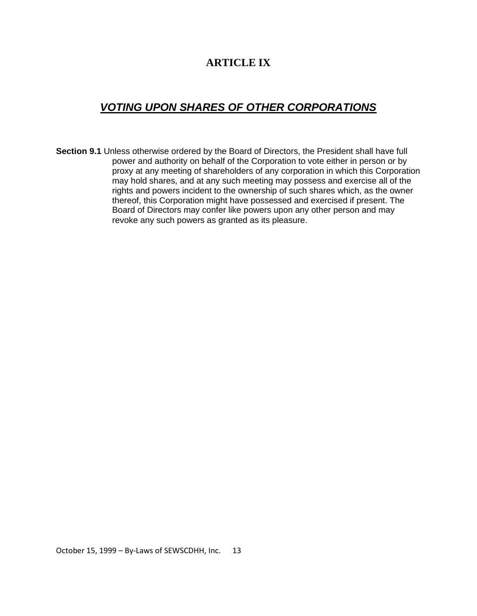### **ARTICLE IX**

# *VOTING UPON SHARES OF OTHER CORPORATIONS*

**Section 9.1** Unless otherwise ordered by the Board of Directors, the President shall have full power and authority on behalf of the Corporation to vote either in person or by proxy at any meeting of shareholders of any corporation in which this Corporation may hold shares, and at any such meeting may possess and exercise all of the rights and powers incident to the ownership of such shares which, as the owner thereof, this Corporation might have possessed and exercised if present. The Board of Directors may confer like powers upon any other person and may revoke any such powers as granted as its pleasure.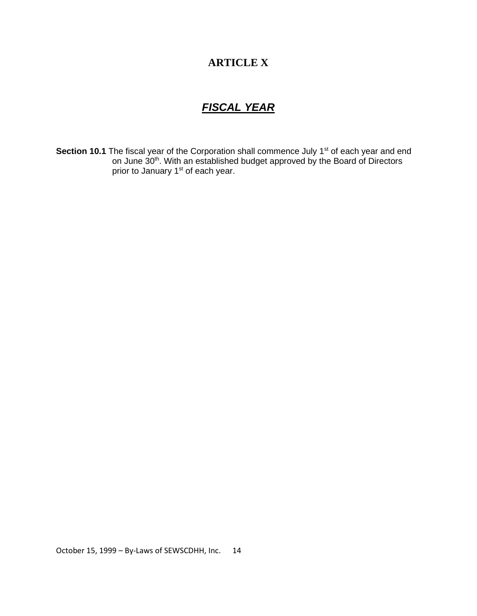# **ARTICLE X**

# *FISCAL YEAR*

**Section 10.1** The fiscal year of the Corporation shall commence July 1<sup>st</sup> of each year and end on June 30<sup>th</sup>. With an established budget approved by the Board of Directors prior to January 1<sup>st</sup> of each year.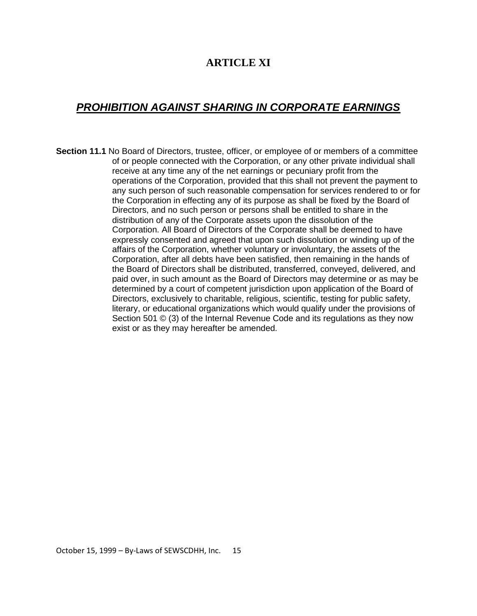#### **ARTICLE XI**

# *PROHIBITION AGAINST SHARING IN CORPORATE EARNINGS*

**Section 11.1** No Board of Directors, trustee, officer, or employee of or members of a committee of or people connected with the Corporation, or any other private individual shall receive at any time any of the net earnings or pecuniary profit from the operations of the Corporation, provided that this shall not prevent the payment to any such person of such reasonable compensation for services rendered to or for the Corporation in effecting any of its purpose as shall be fixed by the Board of Directors, and no such person or persons shall be entitled to share in the distribution of any of the Corporate assets upon the dissolution of the Corporation. All Board of Directors of the Corporate shall be deemed to have expressly consented and agreed that upon such dissolution or winding up of the affairs of the Corporation, whether voluntary or involuntary, the assets of the Corporation, after all debts have been satisfied, then remaining in the hands of the Board of Directors shall be distributed, transferred, conveyed, delivered, and paid over, in such amount as the Board of Directors may determine or as may be determined by a court of competent jurisdiction upon application of the Board of Directors, exclusively to charitable, religious, scientific, testing for public safety, literary, or educational organizations which would qualify under the provisions of Section 501 © (3) of the Internal Revenue Code and its regulations as they now exist or as they may hereafter be amended.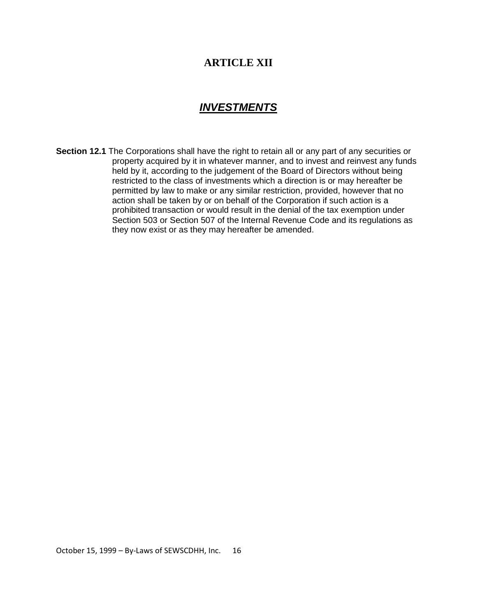#### **ARTICLE XII**

#### *INVESTMENTS*

**Section 12.1** The Corporations shall have the right to retain all or any part of any securities or property acquired by it in whatever manner, and to invest and reinvest any funds held by it, according to the judgement of the Board of Directors without being restricted to the class of investments which a direction is or may hereafter be permitted by law to make or any similar restriction, provided, however that no action shall be taken by or on behalf of the Corporation if such action is a prohibited transaction or would result in the denial of the tax exemption under Section 503 or Section 507 of the Internal Revenue Code and its regulations as they now exist or as they may hereafter be amended.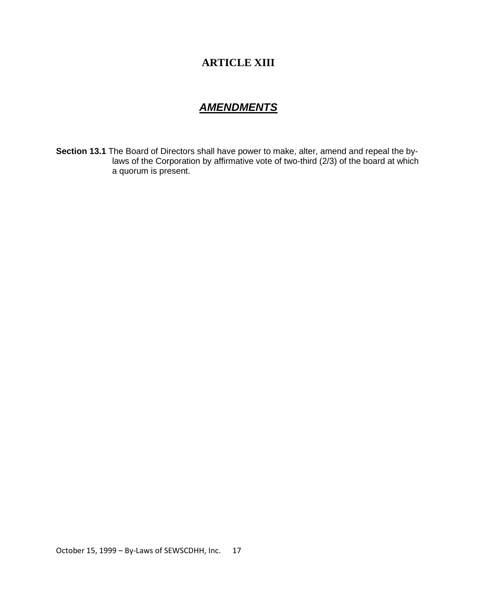# **ARTICLE XIII**

#### *AMENDMENTS*

**Section 13.1** The Board of Directors shall have power to make, alter, amend and repeal the bylaws of the Corporation by affirmative vote of two-third (2/3) of the board at which a quorum is present.